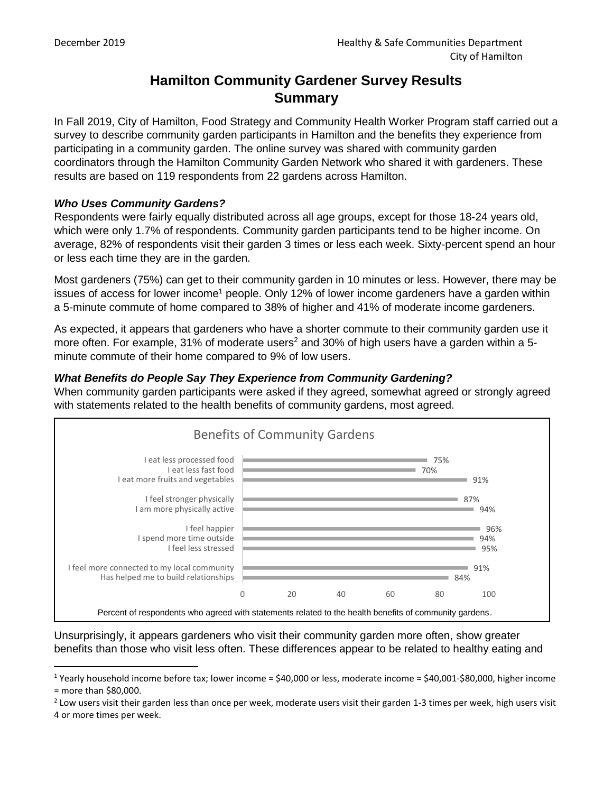l

# **Hamilton Community Gardener Survey Results Summary**

In Fall 2019, City of Hamilton, Food Strategy and Community Health Worker Program staff carried out a survey to describe community garden participants in Hamilton and the benefits they experience from participating in a community garden. The online survey was shared with community garden coordinators through the Hamilton Community Garden Network who shared it with gardeners. These results are based on 119 respondents from 22 gardens across Hamilton.

### *Who Uses Community Gardens?*

Respondents were fairly equally distributed across all age groups, except for those 18-24 years old, which were only 1.7% of respondents. Community garden participants tend to be higher income. On average, 82% of respondents visit their garden 3 times or less each week. Sixty-percent spend an hour or less each time they are in the garden.

Most gardeners (75%) can get to their community garden in 10 minutes or less. However, there may be issues of access for lower income<sup>1</sup> people. Only 12% of lower income gardeners have a garden within a 5-minute commute of home compared to 38% of higher and 41% of moderate income gardeners.

As expected, it appears that gardeners who have a shorter commute to their community garden use it more often. For example,  $31\%$  of moderate users<sup>2</sup> and  $30\%$  of high users have a garden within a 5minute commute of their home compared to 9% of low users.

## *What Benefits do People Say They Experience from Community Gardening?*

When community garden participants were asked if they agreed, somewhat agreed or strongly agreed with statements related to the health benefits of community gardens, most agreed.



Unsurprisingly, it appears gardeners who visit their community garden more often, show greater benefits than those who visit less often. These differences appear to be related to healthy eating and

<sup>&</sup>lt;sup>1</sup> Yearly household income before tax; lower income = \$40,000 or less, moderate income = \$40,001-\$80,000, higher income = more than \$80,000.

 $^2$  Low users visit their garden less than once per week, moderate users visit their garden 1-3 times per week, high users visit 4 or more times per week.